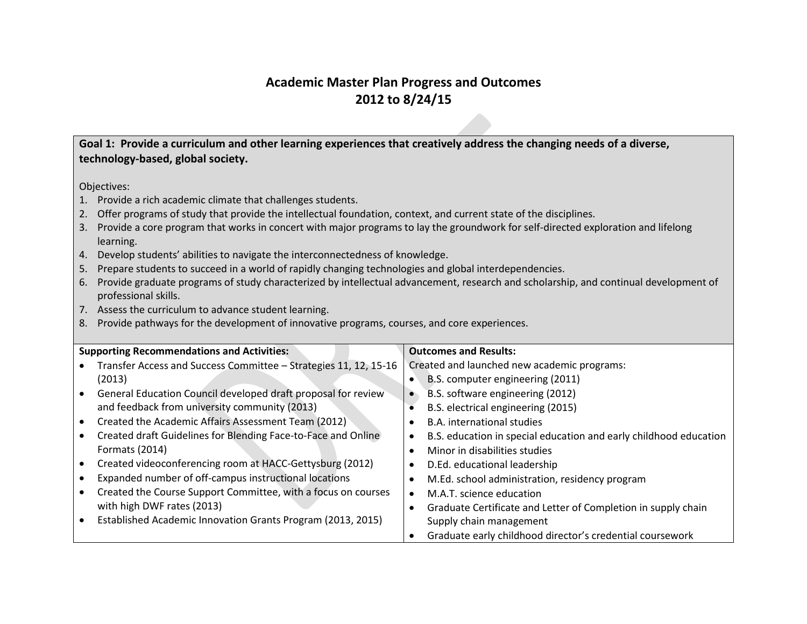## **Academic Master Plan Progress and Outcomes 2012 to 8/24/15**

**Goal 1: Provide a curriculum and other learning experiences that creatively address the changing needs of a diverse, technology-based, global society.**

- 1. Provide a rich academic climate that challenges students.
- 2. Offer programs of study that provide the intellectual foundation, context, and current state of the disciplines.
- 3. Provide a core program that works in concert with major programs to lay the groundwork for self-directed exploration and lifelong learning.
- 4. Develop students' abilities to navigate the interconnectedness of knowledge.
- 5. Prepare students to succeed in a world of rapidly changing technologies and global interdependencies.
- 6. Provide graduate programs of study characterized by intellectual advancement, research and scholarship, and continual development of professional skills.
- 7. Assess the curriculum to advance student learning.
- 8. Provide pathways for the development of innovative programs, courses, and core experiences.

| <b>Supporting Recommendations and Activities:</b>                |           | <b>Outcomes and Results:</b>                                      |
|------------------------------------------------------------------|-----------|-------------------------------------------------------------------|
| Transfer Access and Success Committee - Strategies 11, 12, 15-16 |           | Created and launched new academic programs:                       |
| (2013)                                                           | $\bullet$ | B.S. computer engineering (2011)                                  |
| General Education Council developed draft proposal for review    |           | B.S. software engineering (2012)                                  |
| and feedback from university community (2013)                    |           | B.S. electrical engineering (2015)                                |
| Created the Academic Affairs Assessment Team (2012)              |           | <b>B.A.</b> international studies                                 |
| Created draft Guidelines for Blending Face-to-Face and Online    | $\bullet$ | B.S. education in special education and early childhood education |
| Formats (2014)                                                   | ٠         | Minor in disabilities studies                                     |
| Created videoconferencing room at HACC-Gettysburg (2012)         |           | D.Ed. educational leadership                                      |
| Expanded number of off-campus instructional locations            |           | M.Ed. school administration, residency program                    |
| Created the Course Support Committee, with a focus on courses    | $\bullet$ | M.A.T. science education                                          |
| with high DWF rates (2013)                                       |           | Graduate Certificate and Letter of Completion in supply chain     |
| Established Academic Innovation Grants Program (2013, 2015)      |           | Supply chain management                                           |
|                                                                  |           | Graduate early childhood director's credential coursework         |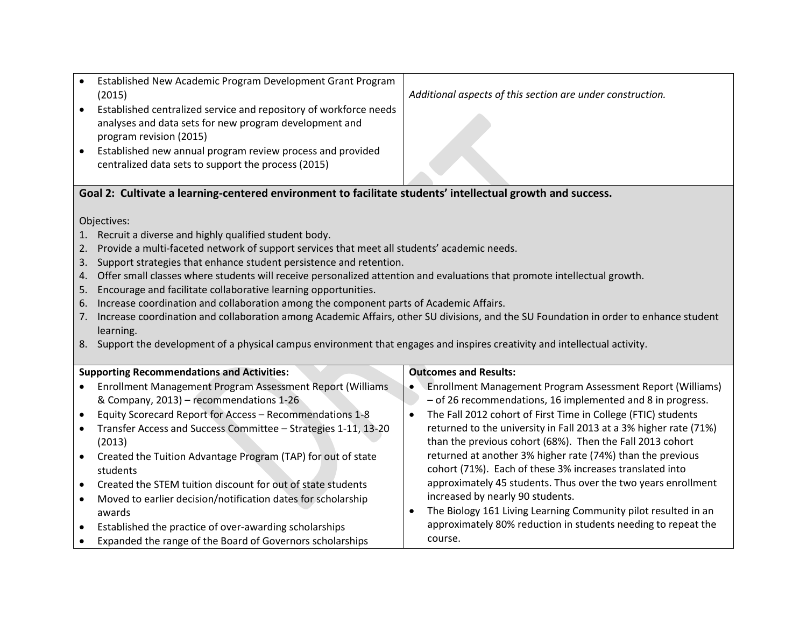| Established New Academic Program Development Grant Program<br>(2015)<br>Established centralized service and repository of workforce needs<br>$\bullet$<br>analyses and data sets for new program development and<br>program revision (2015)<br>Established new annual program review process and provided<br>centralized data sets to support the process (2015)                                                                                                                                                                                                                                                                                                                                                                                                                                                                                          | Additional aspects of this section are under construction.                                                                                   |  |  |
|-----------------------------------------------------------------------------------------------------------------------------------------------------------------------------------------------------------------------------------------------------------------------------------------------------------------------------------------------------------------------------------------------------------------------------------------------------------------------------------------------------------------------------------------------------------------------------------------------------------------------------------------------------------------------------------------------------------------------------------------------------------------------------------------------------------------------------------------------------------|----------------------------------------------------------------------------------------------------------------------------------------------|--|--|
|                                                                                                                                                                                                                                                                                                                                                                                                                                                                                                                                                                                                                                                                                                                                                                                                                                                           |                                                                                                                                              |  |  |
| Goal 2: Cultivate a learning-centered environment to facilitate students' intellectual growth and success.                                                                                                                                                                                                                                                                                                                                                                                                                                                                                                                                                                                                                                                                                                                                                |                                                                                                                                              |  |  |
| Objectives:<br>Recruit a diverse and highly qualified student body.<br>Provide a multi-faceted network of support services that meet all students' academic needs.<br>2.<br>Support strategies that enhance student persistence and retention.<br>3.<br>Offer small classes where students will receive personalized attention and evaluations that promote intellectual growth.<br>4.<br>Encourage and facilitate collaborative learning opportunities.<br>5.<br>Increase coordination and collaboration among the component parts of Academic Affairs.<br>6.<br>Increase coordination and collaboration among Academic Affairs, other SU divisions, and the SU Foundation in order to enhance student<br>7.<br>learning.<br>8. Support the development of a physical campus environment that engages and inspires creativity and intellectual activity. |                                                                                                                                              |  |  |
| <b>Supporting Recommendations and Activities:</b>                                                                                                                                                                                                                                                                                                                                                                                                                                                                                                                                                                                                                                                                                                                                                                                                         | <b>Outcomes and Results:</b>                                                                                                                 |  |  |
| Enrollment Management Program Assessment Report (Williams                                                                                                                                                                                                                                                                                                                                                                                                                                                                                                                                                                                                                                                                                                                                                                                                 | Enrollment Management Program Assessment Report (Williams)                                                                                   |  |  |
| & Company, 2013) - recommendations 1-26<br>Equity Scorecard Report for Access - Recommendations 1-8<br>$\bullet$                                                                                                                                                                                                                                                                                                                                                                                                                                                                                                                                                                                                                                                                                                                                          | - of 26 recommendations, 16 implemented and 8 in progress.<br>The Fall 2012 cohort of First Time in College (FTIC) students<br>$\bullet$     |  |  |
| Transfer Access and Success Committee - Strategies 1-11, 13-20<br>$\bullet$                                                                                                                                                                                                                                                                                                                                                                                                                                                                                                                                                                                                                                                                                                                                                                               | returned to the university in Fall 2013 at a 3% higher rate (71%)                                                                            |  |  |
| (2013)                                                                                                                                                                                                                                                                                                                                                                                                                                                                                                                                                                                                                                                                                                                                                                                                                                                    | than the previous cohort (68%). Then the Fall 2013 cohort                                                                                    |  |  |
| Created the Tuition Advantage Program (TAP) for out of state<br>students                                                                                                                                                                                                                                                                                                                                                                                                                                                                                                                                                                                                                                                                                                                                                                                  | returned at another 3% higher rate (74%) than the previous<br>cohort (71%). Each of these 3% increases translated into                       |  |  |
| Created the STEM tuition discount for out of state students                                                                                                                                                                                                                                                                                                                                                                                                                                                                                                                                                                                                                                                                                                                                                                                               | approximately 45 students. Thus over the two years enrollment                                                                                |  |  |
| Moved to earlier decision/notification dates for scholarship<br>$\bullet$                                                                                                                                                                                                                                                                                                                                                                                                                                                                                                                                                                                                                                                                                                                                                                                 | increased by nearly 90 students.                                                                                                             |  |  |
| awards<br>Established the practice of over-awarding scholarships                                                                                                                                                                                                                                                                                                                                                                                                                                                                                                                                                                                                                                                                                                                                                                                          | The Biology 161 Living Learning Community pilot resulted in an<br>$\bullet$<br>approximately 80% reduction in students needing to repeat the |  |  |
| $\bullet$<br>Expanded the range of the Board of Governors scholarships                                                                                                                                                                                                                                                                                                                                                                                                                                                                                                                                                                                                                                                                                                                                                                                    | course.                                                                                                                                      |  |  |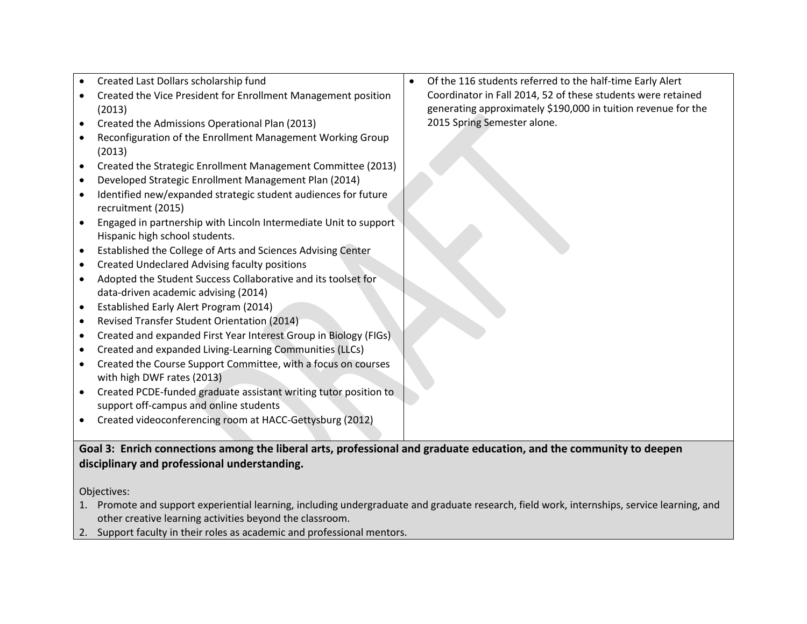| data-driven academic advising (2014)                             | $\bullet$<br>$\bullet$<br>$\bullet$<br>$\bullet$ | Created Last Dollars scholarship fund<br>Created the Vice President for Enrollment Management position<br>(2013)<br>Created the Admissions Operational Plan (2013)<br>Reconfiguration of the Enrollment Management Working Group<br>(2013)<br>Created the Strategic Enrollment Management Committee (2013)<br>Developed Strategic Enrollment Management Plan (2014)<br>Identified new/expanded strategic student audiences for future<br>recruitment (2015)<br>Engaged in partnership with Lincoln Intermediate Unit to support<br>Hispanic high school students.<br>Established the College of Arts and Sciences Advising Center<br><b>Created Undeclared Advising faculty positions</b><br>Adopted the Student Success Collaborative and its toolset for | Of the 116 students referred to the half-time Early Alert<br>Coordinator in Fall 2014, 52 of these students were retained<br>generating approximately \$190,000 in tuition revenue for the<br>2015 Spring Semester alone. |
|------------------------------------------------------------------|--------------------------------------------------|------------------------------------------------------------------------------------------------------------------------------------------------------------------------------------------------------------------------------------------------------------------------------------------------------------------------------------------------------------------------------------------------------------------------------------------------------------------------------------------------------------------------------------------------------------------------------------------------------------------------------------------------------------------------------------------------------------------------------------------------------------|---------------------------------------------------------------------------------------------------------------------------------------------------------------------------------------------------------------------------|
|                                                                  | $\bullet$                                        | Established Early Alert Program (2014)                                                                                                                                                                                                                                                                                                                                                                                                                                                                                                                                                                                                                                                                                                                     |                                                                                                                                                                                                                           |
|                                                                  | $\bullet$                                        |                                                                                                                                                                                                                                                                                                                                                                                                                                                                                                                                                                                                                                                                                                                                                            |                                                                                                                                                                                                                           |
| Revised Transfer Student Orientation (2014)                      | $\bullet$                                        | Created and expanded Living-Learning Communities (LLCs)                                                                                                                                                                                                                                                                                                                                                                                                                                                                                                                                                                                                                                                                                                    |                                                                                                                                                                                                                           |
| Created and expanded First Year Interest Group in Biology (FIGs) |                                                  | Created the Course Support Committee, with a focus on courses<br>with high DWF rates (2013)                                                                                                                                                                                                                                                                                                                                                                                                                                                                                                                                                                                                                                                                |                                                                                                                                                                                                                           |
|                                                                  | $\bullet$                                        | Created PCDE-funded graduate assistant writing tutor position to                                                                                                                                                                                                                                                                                                                                                                                                                                                                                                                                                                                                                                                                                           |                                                                                                                                                                                                                           |
|                                                                  |                                                  | support off-campus and online students                                                                                                                                                                                                                                                                                                                                                                                                                                                                                                                                                                                                                                                                                                                     |                                                                                                                                                                                                                           |
|                                                                  |                                                  | Created videoconferencing room at HACC-Gettysburg (2012)                                                                                                                                                                                                                                                                                                                                                                                                                                                                                                                                                                                                                                                                                                   |                                                                                                                                                                                                                           |

## **disciplinary and professional understanding.**

- 1. Promote and support experiential learning, including undergraduate and graduate research, field work, internships, service learning, and other creative learning activities beyond the classroom.
- 2. Support faculty in their roles as academic and professional mentors.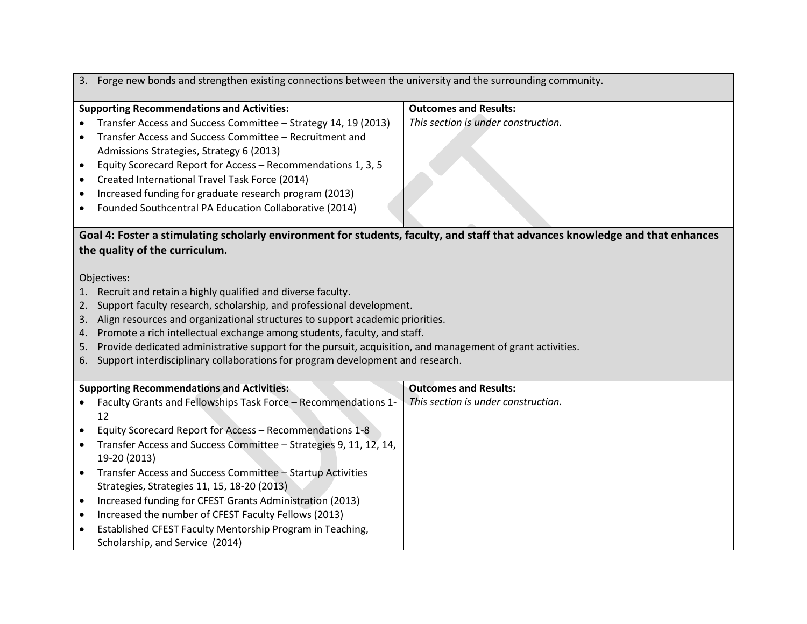|           | 3. Forge new bonds and strengthen existing connections between the university and the surrounding community. |                                                                                                                               |  |  |
|-----------|--------------------------------------------------------------------------------------------------------------|-------------------------------------------------------------------------------------------------------------------------------|--|--|
|           | <b>Supporting Recommendations and Activities:</b>                                                            | <b>Outcomes and Results:</b>                                                                                                  |  |  |
|           | Transfer Access and Success Committee - Strategy 14, 19 (2013)                                               | This section is under construction.                                                                                           |  |  |
| $\bullet$ | Transfer Access and Success Committee - Recruitment and                                                      |                                                                                                                               |  |  |
|           | Admissions Strategies, Strategy 6 (2013)                                                                     |                                                                                                                               |  |  |
| ٠         | Equity Scorecard Report for Access - Recommendations 1, 3, 5                                                 |                                                                                                                               |  |  |
| $\bullet$ | Created International Travel Task Force (2014)                                                               |                                                                                                                               |  |  |
| $\bullet$ | Increased funding for graduate research program (2013)                                                       |                                                                                                                               |  |  |
| $\bullet$ | Founded Southcentral PA Education Collaborative (2014)                                                       |                                                                                                                               |  |  |
|           |                                                                                                              |                                                                                                                               |  |  |
|           |                                                                                                              | Goal 4: Foster a stimulating scholarly environment for students, faculty, and staff that advances knowledge and that enhances |  |  |
|           | the quality of the curriculum.                                                                               |                                                                                                                               |  |  |
|           |                                                                                                              |                                                                                                                               |  |  |
|           | Objectives:                                                                                                  |                                                                                                                               |  |  |
|           | Recruit and retain a highly qualified and diverse faculty.                                                   |                                                                                                                               |  |  |
| 2.        | Support faculty research, scholarship, and professional development.                                         |                                                                                                                               |  |  |
| 3.        | Align resources and organizational structures to support academic priorities.                                |                                                                                                                               |  |  |
| 4.        | Promote a rich intellectual exchange among students, faculty, and staff.                                     |                                                                                                                               |  |  |
| 5.        | Provide dedicated administrative support for the pursuit, acquisition, and management of grant activities.   |                                                                                                                               |  |  |
| 6.        | Support interdisciplinary collaborations for program development and research.                               |                                                                                                                               |  |  |
|           |                                                                                                              |                                                                                                                               |  |  |
|           | <b>Supporting Recommendations and Activities:</b>                                                            | <b>Outcomes and Results:</b>                                                                                                  |  |  |
|           | Faculty Grants and Fellowships Task Force - Recommendations 1-                                               | This section is under construction.                                                                                           |  |  |
|           | 12                                                                                                           |                                                                                                                               |  |  |
| $\bullet$ | Equity Scorecard Report for Access - Recommendations 1-8                                                     |                                                                                                                               |  |  |
| $\bullet$ | Transfer Access and Success Committee - Strategies 9, 11, 12, 14,                                            |                                                                                                                               |  |  |
|           | 19-20 (2013)                                                                                                 |                                                                                                                               |  |  |
| $\bullet$ | Transfer Access and Success Committee - Startup Activities                                                   |                                                                                                                               |  |  |
|           | Strategies, Strategies 11, 15, 18-20 (2013)                                                                  |                                                                                                                               |  |  |
| $\bullet$ | Increased funding for CFEST Grants Administration (2013)                                                     |                                                                                                                               |  |  |
| ٠         | Increased the number of CFEST Faculty Fellows (2013)                                                         |                                                                                                                               |  |  |
| $\bullet$ | Established CFEST Faculty Mentorship Program in Teaching,                                                    |                                                                                                                               |  |  |
|           | Scholarship, and Service (2014)                                                                              |                                                                                                                               |  |  |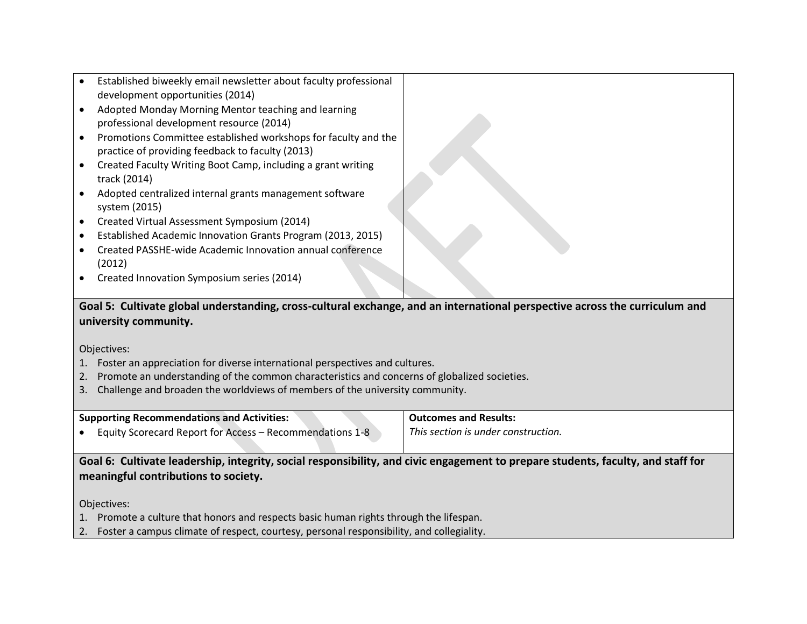- Established biweekly email newsletter about faculty professional development opportunities (2014)
- Adopted Monday Morning Mentor teaching and learning professional development resource (2014)
- Promotions Committee established workshops for faculty and the practice of providing feedback to faculty (2013)
- Created Faculty Writing Boot Camp, including a grant writing track (2014)
- Adopted centralized internal grants management software system (2015)
- Created Virtual Assessment Symposium (2014)
- Established Academic Innovation Grants Program (2013, 2015)
- Created PASSHE-wide Academic Innovation annual conference (2012)
- Created Innovation Symposium series (2014)

## **Goal 5: Cultivate global understanding, cross-cultural exchange, and an international perspective across the curriculum and university community.**

Objectives:

- 1. Foster an appreciation for diverse international perspectives and cultures.
- 2. Promote an understanding of the common characteristics and concerns of globalized societies.
- 3. Challenge and broaden the worldviews of members of the university community.

| <b>Supporting Recommendations and Activities:</b>        | Outcomes a   |
|----------------------------------------------------------|--------------|
| Equity Scorecard Report for Access - Recommendations 1-8 | This section |

**Outcomes and Results:**

*This section is under construction.*

**Goal 6: Cultivate leadership, integrity, social responsibility, and civic engagement to prepare students, faculty, and staff for meaningful contributions to society.**

- 1. Promote a culture that honors and respects basic human rights through the lifespan.
- 2. Foster a campus climate of respect, courtesy, personal responsibility, and collegiality.